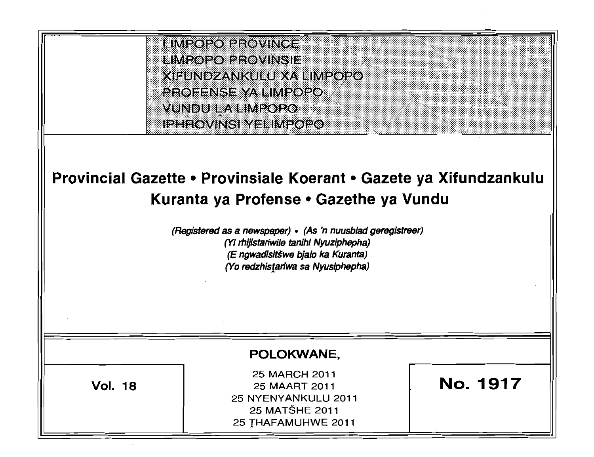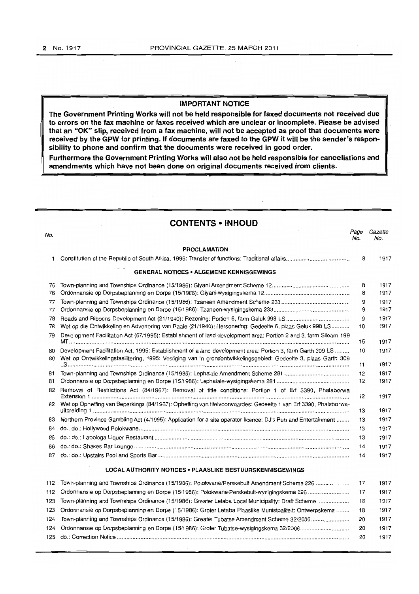$\sim$   $\sim$ 

#### **IMPORTANT NOTICE**

**"rhe Government Printing Works will not be held responsible for faxed documents not received due to errors on the fax machine or faxes received which are unclear or incomplete. Please be advised that an "OK" slip, received from a fax machine, will not be accepted as proof that documents were received by the GPW for printing. If documents are faxed to the GPW it will be the sender's responsibility to phone and confirm that the documents were received in good order.** 

**Furthermore the Government Printing Works will also not be held responsible for cancellations and amendments which have not been done on original documents received from clients.** 

|     | <b>CONTENTS • INHOUD</b>                                                                                           |             |                |
|-----|--------------------------------------------------------------------------------------------------------------------|-------------|----------------|
| No. |                                                                                                                    | Page<br>No. | Gazette<br>No. |
|     | <b>PROCLAMATION</b>                                                                                                |             |                |
| 1.  |                                                                                                                    | 8           | 1917           |
|     | <b>GENERAL NOTICES . ALGEMENE KENNISGEWINGS</b>                                                                    |             |                |
| 76  |                                                                                                                    | 8           | 1917           |
| 76  |                                                                                                                    | 8           | 1917           |
| 77  |                                                                                                                    | 9           | 1917           |
| 77  |                                                                                                                    | 9           | 1917           |
| 78  |                                                                                                                    | 9           | 1917           |
| 78  | Wet op die Ontwikkeling en Advertering van Paaie (21/1940): Hersonering: Gedeelte 6, plaas Geluk 998 LS            | 10          | 1917           |
| 79  | Development Facilitation Act (67/1995): Establishment of land development area: Portion 2 and 3, farm Siloam 199   | 15          | 1917           |
| 80  | Development Facilitation Act, 1995: Establishment of a land development area: Portion 3, farm Garth 309 LS         | 10          | 1917           |
| 80  | Wet op Ontwikkelingsfasilitering, 1995: Vestiging van 'n grondontwikkelingsgebied: Gedeelte 3, plaas Garth 309     | 11          | 1917           |
| 81  |                                                                                                                    | 12          | 1917           |
| 81  |                                                                                                                    | 12          | 1917           |
| 82  | Removal of Restrictions Act (84/1967): Removal of title conditions: Portion 1 of Erf 3390, Phalaborwa              | 12          | 1917           |
|     | 82 Wet op Opheffing van Beperkings (84/1967): Opheffing van titelvoorwaardes: Gedeelte 1 van Erf 3390, Phalaborwa- | 13          | 1917           |
| 83  | Northern Province Gambling Act (4/1995): Application for a site operator licence: DJ's Pub and Entertainment       | 13          | 1917           |
| 84  |                                                                                                                    | 13          | 1917           |
| 85  |                                                                                                                    | 13          | 1917           |
| 86  |                                                                                                                    | 14          | 1917           |
| 87  |                                                                                                                    | 14          | 1917           |
|     | LOCAL AUTHORITY NOTICES . PLAASLIKE BESTUURSKENNISGEWINGS                                                          |             |                |
| 112 | Town-planning and Townships Ordinance (15/1986): Polokwane/Perskebult Amendment Scheme 226                         | 17          | 1917           |
| 112 | Ordonnansie op Dorpsbeplanning en Dorpe (15/1986): Polokwane/Perskebult-wysigingskema 226                          | 17          | 1917           |
| 123 | Town-planning and Townships Ordinance (15/1986): Greater Letaba Local Municipality: Draft Scheme                   | 18          | 1917           |
| 123 | Ordonnansie op Dorpsbeplanning en Dorpe (15/1986): Groter Letaba Plaaslike Munisipaliteit: Ontwerpskema            | 18          | 1917           |
| 124 | Town-planning and Townships Ordinance (15/1986): Greater Tubatse Amendment Scheme 32/2006                          | 20          | 1917           |
| 124 |                                                                                                                    | 20          | 1917           |
| 125 |                                                                                                                    | 20          | 1917           |
|     |                                                                                                                    |             |                |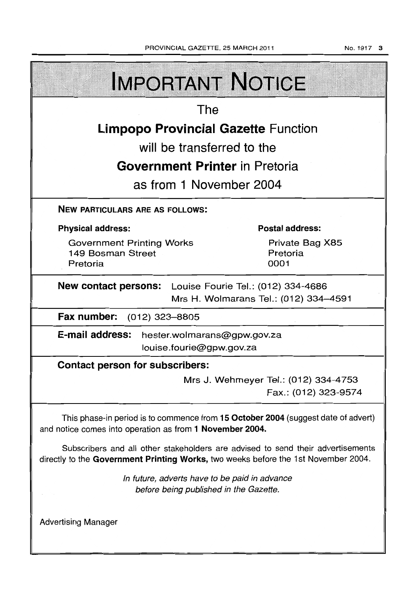No.1917 3

| <b>IMPORTANT NOTICE</b>                                                                                                                                               |  |  |  |  |  |
|-----------------------------------------------------------------------------------------------------------------------------------------------------------------------|--|--|--|--|--|
| The                                                                                                                                                                   |  |  |  |  |  |
| <b>Limpopo Provincial Gazette Function</b>                                                                                                                            |  |  |  |  |  |
| will be transferred to the                                                                                                                                            |  |  |  |  |  |
| <b>Government Printer in Pretoria</b>                                                                                                                                 |  |  |  |  |  |
| as from 1 November 2004                                                                                                                                               |  |  |  |  |  |
| <b>NEW PARTICULARS ARE AS FOLLOWS:</b>                                                                                                                                |  |  |  |  |  |
| <b>Postal address:</b><br><b>Physical address:</b>                                                                                                                    |  |  |  |  |  |
| Private Bag X85<br><b>Government Printing Works</b><br>Pretoria<br>149 Bosman Street<br>0001<br>Pretoria                                                              |  |  |  |  |  |
| <b>New contact persons:</b> Louise Fourie Tel.: (012) 334-4686<br>Mrs H. Wolmarans Tel.: (012) 334-4591                                                               |  |  |  |  |  |
| Fax number:<br>(012) 323–8805                                                                                                                                         |  |  |  |  |  |
| E-mail address: hester.wolmarans@gpw.gov.za<br>louise.fourie@gpw.gov.za                                                                                               |  |  |  |  |  |
| <b>Contact person for subscribers:</b>                                                                                                                                |  |  |  |  |  |
| Mrs J. Wehmeyer Tel.: (012) 334-4753<br>Fax.: (012) 323-9574                                                                                                          |  |  |  |  |  |
| This phase-in period is to commence from 15 October 2004 (suggest date of advert)<br>and notice comes into operation as from 1 November 2004.                         |  |  |  |  |  |
| Subscribers and all other stakeholders are advised to send their advertisements<br>directly to the Government Printing Works, two weeks before the 1st November 2004. |  |  |  |  |  |
| In future, adverts have to be paid in advance<br>before being published in the Gazette.                                                                               |  |  |  |  |  |
| <b>Advertising Manager</b>                                                                                                                                            |  |  |  |  |  |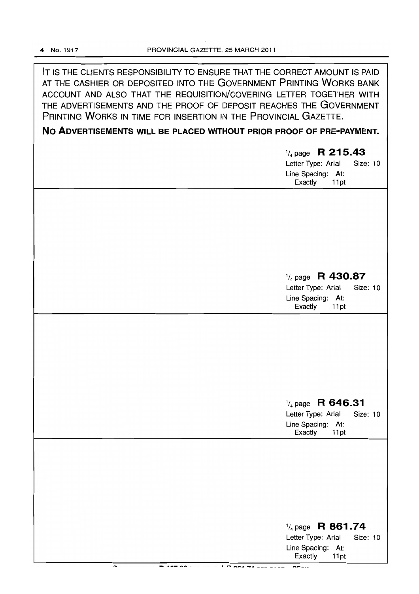IT IS THE CLIENTS RESPONSIBILITY TO ENSURE THAT THE CORRECT AMOUNT IS PAID AT THE CASHIER OR DEPOSITED INTO THE GOVERNMENT PRINTING WORKS BANK ACCOUNT AND ALSO THAT THE REQUISITION/COVERING LETTER TOGETHER WITH THE ADVERTISEMENTS AND THE PROOF OF DEPOSIT REACHES THE GOVERNMENT PRINTING WORKS IN TIME FOR INSERTION IN THE PROVINCIAL GAZETTE.

**No ADVERTISEMENTS WILL BE PLACED WITHOUT PRIOR PROOF OF PRE-PAYMENT.** 

|  | $\frac{1}{4}$ page R 215.43<br>Letter Type: Arial<br>Size: 10<br>Line Spacing: At:<br>Exactly<br>11pt        |
|--|--------------------------------------------------------------------------------------------------------------|
|  |                                                                                                              |
|  | $\frac{1}{4}$ page R 430.87<br>Letter Type: Arial<br><b>Size: 10</b><br>Line Spacing: At:<br>Exactly<br>11pt |
|  |                                                                                                              |
|  | $\frac{1}{4}$ page R 646.31<br>Letter Type: Arial<br>Size: 10<br>Line Spacing: At:<br>Exactly<br>11pt        |
|  |                                                                                                              |
|  | $\frac{1}{4}$ page R 861.74<br>Letter Type: Arial<br><b>Size: 10</b><br>Line Spacing: At:<br>Exactly<br>11pt |

,.... \_\_\_\_\_\_\_\_\_\_ **...-a. .. ""'\_,.. .....** \_\_\_ ~ \_\_\_\_ I **I""It. \_\_ ..** *\_A* \_\_\_\_\_\_\_ **"',...\_ ...**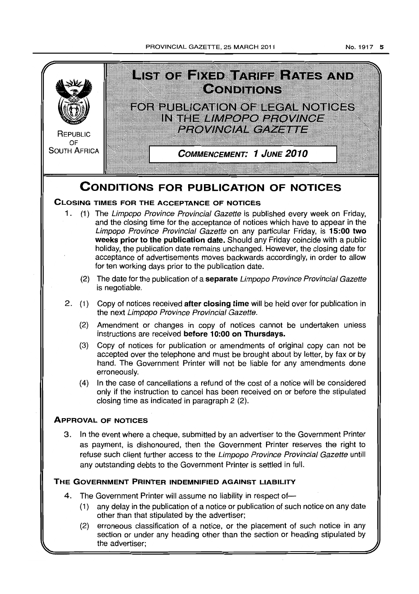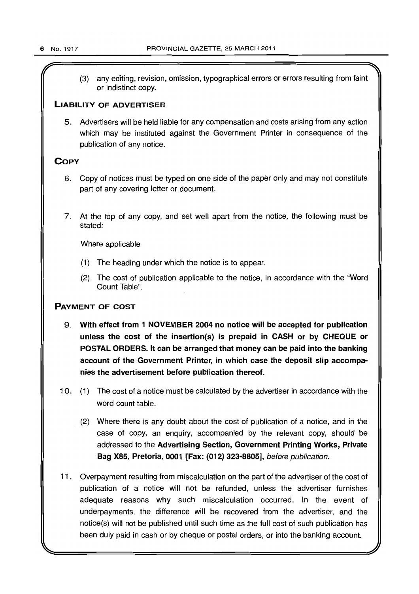(3) any editing, revision, omission, typographical errors or errors resulting from faint or indistinct copy.

# **LIABILITY OF ADVERTISER**

5. Advertisers will be held liable for any compensation and costs arising from any action which may be instituted against the Government Printer in consequence of the publication of any notice.

# **COpy**

- 6. Copy of notices must be typed on one side of the paper only and may not constitute part of any covering letter or document.
- 7. At the top of any copy, and set well apart from the notice, the following must be stated:

Where applicable

- (1) The heading under which the notice is to appear.
- (2) The cost of publication applicable to the notice, in accordance with the "Word Count Table",

# **PAYMENT OF COST**

- 9. **With effect from 1 NOVEMBER 2004 no notice will be accepted for publication unless the cost of the insertion(s) is prepaid in CASH or by CHEQUE or POSTAL ORDERS. It can be arranged that money can be paid into the banking account of the Government Printer, in which case the deposit slip accompanies the advertisement before publication thereof.**
- 10. (1) The cost of a notice must be calculated by the advertiser in accordance with the word count table.
	- (2) Where there is any doubt about the cost of publication of a notice, and in the case of copy, an enquiry, accompanied by the relevant copy, should be addressed to the **Advertising Section, Government Printing Works, Private Bag X85, Pretoria, 0001 [Fax: (012) 323-8805],** before publication.
- 11. Overpayment resulting from miscalculation on the part of the advertiser of the cost of publication of a notice will not be refunded, unless the advertiser furnishes adequate reasons why such miscalculation occurred. In the event of underpayments, the difference will be recovered from the advertiser, and the notice(s) will not be published until such time as the full cost of such publication has been duly paid in cash or by cheque or postal orders, or into the banking account.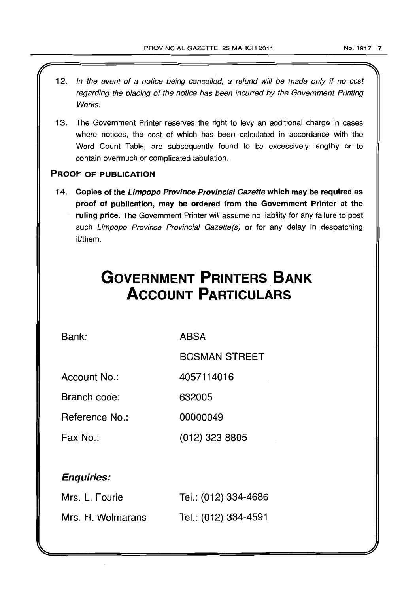- 12. In the event of a notice being cancelled, a refund will be made only if no cost regarding the placing of the notice has been incurred by the Government Printing Works.
- 13. The Government Printer reserves the right to levy an additional charge in cases where notices, the cost of which has been calculated in accordance with the Word Count Table, are subsequently found to be excessively lengthy or to contain overmuch or complicated tabulation.

# PROOF OF PUBLICATION

14. Copies of the Limpopo Province Provincial Gazette which may be required as proof of publication, may be ordered from the Government Printer at the ruling price. The Government Printer will assume no liability for any failure to post such Limpopo Province Provincial Gazette(s) or for any delay in despatching it/them.

# **GOVERNMENT PRINTERS BANK ACCOUNT PARTICULARS**

Bank:

ABSA

BOSMAN STREET

(012) 323 8805

Account No.: 4057114016

Branch code: 632005

Reference No.: 00000049

Fax No.:

# Enquiries:

| Mrs. L. Fourie    | Tel.: (012) 334-4686 |
|-------------------|----------------------|
| Mrs. H. Wolmarans | Tel.: (012) 334-4591 |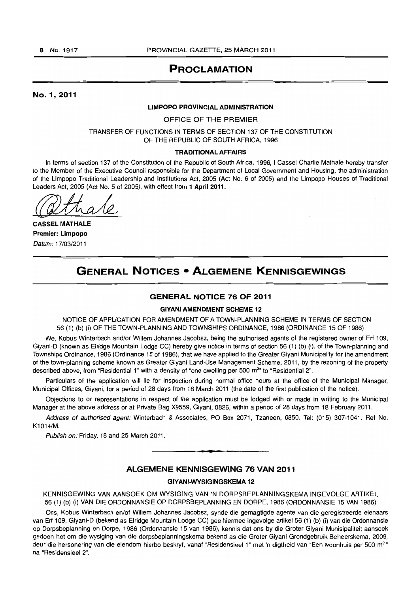# PROCLAMATION

#### No. 1,2011

#### LIMPOPO PROVINCIAL ADMINISTRATION

OFFICE OF THE PREMIER

TRANSFER OF FUNCTIONS IN TERMS OF SECTION 137 OF THE CONSTITUTION OF THE REPUBLIC OF SOUTH AFRICA, 1996

#### TRADITIONAL AFFAIRS

In terms of section 137 of the Constitution of the Republic of South Africa, 1996, I Cassel Charlie Mathale hereby transfer to the Member of the Executive Council responsible for the Department of Local Government and Housing, the administration of the Limpopo Traditional Leadership and Institutions Act, 2005 (Act No. 6 of 2005) and the Limpopo Houses of Traditional Leaders Act, 2005 (Act No. 5 of 2005), with effect from 1 April 2011.

CASSEL MATHALE Premier: Limpopo Datum: 17/03/2011

# GENERAL NOTICES • ALGEMENE KENNISGEWINGS

#### GENERAL NOTICE 76 OF 2011

#### GIVANI AMENDMENT SCHEME 12

NOTICE OF APPLICATION FOR AMENDMENT OF A TOWN-PLANNING SCHEME IN TERMS OF SECTION 56 (1) (b) (i) OF THE TOWN-PLANNING AND TOWNSHIPS ORDINANCE, 1986 (ORDINANCE 15 OF 1986)

We, Kobus Winterbach and/or Willem Johannes Jacobsz, being the authorised agents of the registered owner of Erf 109, Giyani-D (known as Elridge Mountain Lodge CC) hereby give notice in terms of section 56 (1) (b) (i), of the Town-planning and Townships Ordinance, 1986 (Ordinance 15 of 1986), that we have applied to the Greater Giyani Municipality for the amendment of the town-planning scheme known as Greater Giyani Land-Use Management Scheme, 2011, by the rezoning of the property described above, from "Residential 1" with a density of "one dwelling per 500 m<sup>2</sup>" to "Residential 2".

Particulars of the application will lie for inspection during normal office hours at the office of the Municipal Manager, Municipal Offices, Giyani, for a period of 28 days from 18 March 2011 (the date of the first publication of the notice).

Objections to or representations in respect of the application must be lodged with or made in writing to the Municipal Manager at the above address or at Private Bag X9559, Giyani, 0826, within a period of 28 days from 18 February 2011.

Address of authorised agent: Winterbach & Associates, PO Box 2071, Tzaneen, 0850. Tel: (015) 307-1041. Ref No. K1014/M.

Publish on: Friday, 18 and 25 March 2011.

#### ALGEMENE KENNISGEWING 76 VAN 2011

**•** 

#### GIYANI-WYSIGINGSKEMA 12

KENNISGEWING VAN AANSOEK OM WYSIGING VAN 'N DORPSBEPLANNINGSKEMA INGEVOLGE ARTIKEL 56 (1) (b) (i) VAN DIE ORDONNANSIE OP DORPSBEPLANNING EN DORPE, 1986 (ORDONNANSIE 15 VAN 1986)

Ons, Kobus Winterbach en/of Willem Johannes Jacobsz, synde die gemagtigde agente van die geregistreerde eienaars van Ert 109, Giyani-D (bekend as Elridge Mountain Lodge CC) gee hiermee ingevolge artikel 56 (1) (b) (i) van die Ordonnansie op Dorpsbeplanning en Dorpe, 1986 (Ordonnansie 15 van 1986), kennis dat ons by die Groter Giyani Munisipaliteit aansoek gedoen het om die wysiging van die dorpsbeplanningskema bekend as die Groter Giyani Grondgebruik Beheerskema, 2009, deur die hersonering van die eiendom hierbo beskryf, vanaf "Residensieel 1" met 'n digtheid van "Een woonhuis per 500 m<sup>2</sup>" na "Residensieel 2".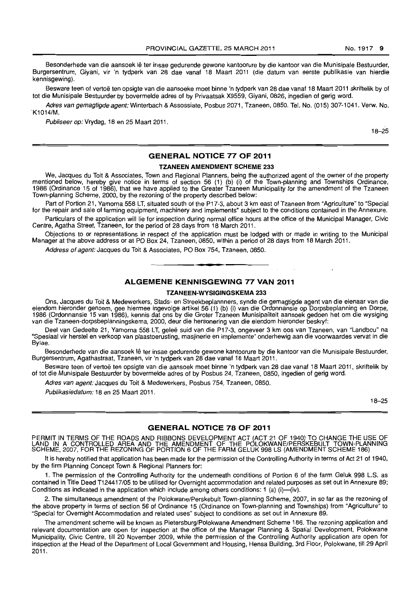Besonderhede van die aansoek lê ter insae gedurende gewone kantoorure by die kantoor van die Munisipale Bestuurder, Burgersentrum, Giyani, vir 'n tydperk van 28 dae vanaf 18 Maart 2011 (die datum van eerste publikasie van hierdie kennisgewing) .

Besware teen of vertoë ten opsigte van die aansoeke moet binne 'n tydperk van 28 dae vanaf 18 Maart 2011 skriftelik by of tot die Munisipale Bestuurder by bovermelde adres of by Privaatsak X9559, Giyani, 0826, ingedien of gerig word.

Adres van gemagtigde agent:Winterbach & Assossiate, Posbus 2071, Tzaneen, 0850. Tel. No. (015) 307·1041. Verw. No. K1014/M.

Publiseer op: Vrydag, 18 en 25 Maart 2011.

18-25

#### **GENERAL NOTICE 77 OF 2011**

#### **TZANEEN AMENDMENT SCHEME 233**

We, Jacques du Toit & Associates, Town and Regional Planners, being the authorized agent of the owner of the property mentioned below, hereby give notice in terms of section 56 (1) (b) (i) of the Town-planning and Townships Ordinance, 1986 (Ordinance 15 of 1986), that we have applied to the Greater Tzaneen Municipality for the amendment of the Tzaneen Town-planning Scheme, 2000, by the rezoning of the property described below:

Part of Portion 21, Yamorna 558 LT, situated south of the P17·3, about 3 km east of Tzaneen from "Agriculture" to "Special for the repair and sale of farming equipment, machinery and implements" subject to the conditions contained in the Annexure.

Particulars of the application will lie for inspection during normal office hours at the office of the Municipal Manager, Civic Centre, Agatha Street, Tzaneen, for the period of 28 days from 18 March 2011.

Objections to or representations in respect of the application must be lodged with or made in writing to the Municipal Manager at the above address or at PO Box 24, Tzaneen, 0850, within a period of 28 days from 18 March 2011.

Address of agent: Jacques du Toil & Associates, PO Box 754, Tzaneen, 0850.

#### **ALGEMENE KENNISGEWING 77 VAN 2011**

**• •** 

#### **TZANEEN·WVSIGINGSKEMA 233**

Ons, Jacques du Toit & Medewerkers, Stads- en Streekbeplannners, synde die gemagtigde agent van die eienaar van die eiendom hieronder genoem, gee hiermee ingevolge artikel 56 (1) (b) (i) van die Ordonnansie op Dorpsbeplanning en Dorpe, 1986 (Ordonnansie 15 van 1986), kennis dat ons by die Groter Tzaneen Munisipaliteit aansoek gedoen het om die wysiging van die Tzaneen-dorpsbeplanningskema, 2000, deur die hersonering van die eiendom hieronder beskryf:

Deel van Gedeelte 21, Yamorna 558 LT, geleë suid van die P17-3, ongeveer 3 km oos van Tzaneen, van "Landbou" na "Spesiaal vir herstel en verkoop van plaastoerusting, masjinerie en implemente" onderhewig aan die voorwaardes vervat in die Bylae.

Besonderhede van die aansoek lê ter insae gedurende gewone kantoorure by die kantoor van die Munisipale Bestuurder, Burgersentrum, Agathastraat, Tzaneen, vir 'n tydperk van 28 dae vanaf 18 Maart 2011.

Besware teen of vertoe ten opsigte van die aansoek moet binne 'n tydperk van 28 dae vanaf 18 Maart 2011, skriftelik by of tot die Munisipale Bestuurder by bovermelde adres of by Posbus 24, Tzaneen, 0850, ingedien of gerig word.

Adres van agent: Jacques du Toit & Medewerkers, Posbus 754, Tzaneen, 0850.

Publikasiedatum: 18 en 25 Maart 2011.

18-25

#### **GENERAL NOTICE 78 OF 2011**

PERMIT IN TERMS OF THE ROADS AND RIBBONS DEVELOPMENT ACT (ACT 21 OF 1940) TO CHANGE THE USE OF LAND IN A CONTROLLED AREA AND THE AMENDMENT OF THE POLOKWANE/PERSKEBULT TOWN-PLANNING<br>SCHEME, 2007, FOR THE REZONING OF PORTION 6 OF THE FARM GELUK 998 LS (AMENDMENT SCHEME 186)

It is hereby notified that application has been made for the permission of the Controlling Authority in terms of Act 21 of 1940, by the firm Planning Concept Town & Regional Planners for:

1. The permission of the Controlling Authority for the underneath conditions of Portion 6 of the farm Geluk 998 L.S. as contained in Title Deed T124417105 to be utilised for Overnight accommodation and related purposes as set out in Annexure 89; Conditions as indicated in the application which include among others conditions: 1 (a) (i)-(iv).

2. The simultaneous amendment of the Polokwane/Perskebult Town-planning Scheme, 2007, in so far as the rezoning of the above property in terms of section 56 of Ordinance 15 (Ordinance on Town-planning and Townships) from "Agriculture" to "Special for Overnight Accommodation and related uses" subject to conditions as set out in Annexure 89.

The amendment scheme will be known as Pietersburg/Polokwane Amendment Scheme 186. The rezoning application and relevant documentation are open for inspection at the office of the Manager Planning & Spatial Development, Polokwane Municipality, Civic Centre, till 20 November 2009, while the permission of the Controlling Authority application are open for inspection at the Head of the Department of Local Government and Housing, Hensa Building, 3rd Floor, Polokwane, till 29 April 2011.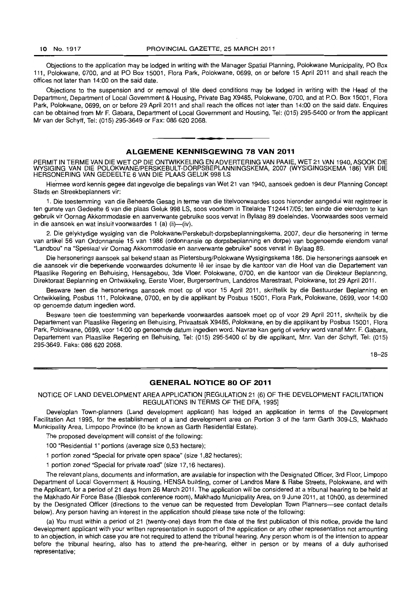Objections to the application may be lodged in writing with the Manager Spatial Planning, Polokwane Municipality, PO Box 111, Polokwane, 0700, and at PO Box 15001, Flora Park, Polokwane, 0699, on or before 15 April 2011 and shall reach the offices not later than 14:00 on the said date.

Objections to the suspension and or removal of title deed conditions may be lodged in writing with the Head of the Department, Department of Local Government & Housing, Private Bag X9485, Polokwane, 0700, and at P.O. Box 15001, Flora Park, Polokwane, 0699, on or before 29 April 2011 and shall reach the offices not later than 14:00 on the said date. Enquires can be obtained from Mr F. Gabara, Department of Local Government and Housing, Tel: (015) 295-5400 or from the applicant Mr van der Schyff, Tel: (015) 295-3649 or Fax: 086 620 2068 .

#### **ALGEMENE KENNISGEWING 78 VAN 2011**

**• •** 

PERMIT IN TERME VAN DIE WET OP DIE ONTWIKKELING EN ADVERTERING VAN PAAIE, WET 21 VAN 1940, ASOOK DIE WYSIGING VAN DIE POLOKWANE/PERSKEBULT-DORPSBEPLANNINGSKEMA, 2007 (WYSIGINGSKEMA 186) VIR DIE HERSONERING VAN GEDEELTE 6 VAN DIE PLAAS GELUK 998 LS

Hie'rmee word kennis gegee dat ingevolge die bepalings van Wet 21 van 1940, aansoek gedoen is deur Planning Concept Stads en Streekbeplanners vir:

1. Die toestemming van die Beheerde Gesag in terme van die titelvoorwaardes soos hieronder aangedui wat registreer is ten gunste van Gedeelte 6 van die plaas Geluk 998 LS, soos voorkom in Titelakte T124417/05; ten einde die eiendom te kan gebruik vir Oornag Akkommodasie en aanverwante gebruike soos vervat in Bylaag 89 doeleindes. Voorwaardes soos vermeld in die aansoek en wat insluit voorwaardes 1 (a) (ii)-(iv).

2. Die gelyktydige wysiging van die Polokwane/Perskebult-dorpsbeplanningskema, 2007, deur die hersonering in terme van artikel 56 van Ordonnansie 15 van 1986 (ordonnansie op dorpsbeplanning en dorpe) van bogenoemde eiendom vanaf "Landbou" na "Spesiaal vir Oornag Akkommodasie en aanverwante gebruike" soos vervat in Bylaag 89.

Die hersonerings aansoek sal bekend staan as Pietersburg/Polokwane Wysigingskema 186. Die hersonerings aansoek en die aansoek vir die beperkende voorwaardes dokumente lê ter insae by die kantoor van die Hoof van die Departement van Plaaslike Regering en Behuising, Hensagebou, 3de Vloer, Polokwane, 0700, en die kantoor van die Direkteur Beplanning, Direktoraat Beplanning en Ontwikkeling, Eerste Vloer, Burgersentrum, Landdros Marestraat, Polokwane, tot 29 April 2011.

Besware teen die hersonerings aansoek moet op of voor 15 April 2011, skriftelik by die Bestuurder Beplanning en Ontwikkeling, Posbus 111, Polokwane, 0700, en by die applikant by Posbus 15001, Flora Park, Polokwane, 0699, voor 14:00 op genoemde datum ingedien word.

Besware teen die toestemming van beperkende voorwaardes aansoek moet op of voor 29 April 2011, skriftelik by die Departement van Plaaslike Regering en Behuising, Privaatsak X9485, Polokwane, en by die applikant by Posbus 15001, Flora Park, Polokwane, 0699, voor 14:00 op genoemde datum ingedien word. Navrae kan gerig of verkry word vanaf Mnr. F. Gabara, Departement van Plaaslike Regering en Behuising, Tel: (Oi5) 295-5400 of by die applikant, Mnr. Van der Schyff, Tel: (015) 295-3649. Faks: 086 620 2068.

18-25

#### **GENERAL NOTICE 80 OF 2011**

NOTICE OF LAND DEVELOPMENT AREA APPLICATION [REGULATION 21 (6) OF THE DEVELOPMENT FACILITATION REGULATIONS IN TERMS OF THE DFA, 1995]

Developlan Town-planners (Land development applicant) has lodged an application in terms of the Development Facilitation Act 1995, for the establishment of a land development area on Portion 3 of the farm Garth 309-LS, Makhado Municipality Area, Limpopo Province (to be known as Garth Residential Estate).

The proposed development will consist of the following:

100 "Residential 1" portions (average size 0,53 hectare);

1 portion zoned "Special for private open space" (size 1 ,82 hectares);

1 portion zoned "Special for private road" (size 17,16 hectares).

The relevant plans, documents and information, are available for inspection with the Designated Officer, 3rd Floor, Limpopo Department of Local Government & Housing, HENSA building, corner of Landros Mare & Rabe Streets, Polokwane, and with the Applicant, for a period of 21 days from 26 March 2011. The application will be considered at a tribunal hearing to be held at the Makhado Air Force Base (Blesbok conference room), Makhado Municipality Area, on 9 June 2011, at 10hOO, as determined by the Designated Officer (directions to the venue can be requested from Developlan Town Planners-see contact details below). Any person having an interest in the application should please take note of the following:

(a) You must within a period of 21 (twenty-one) days from the date of the first publication of this notice, provide the land development applicant with your written representation in support of the application or *any* other representation not amounting to an objection, in which case you are not required to attend the tribunal hearing. Any person whom is of the intention to appear before the tribunal hearing, also has to attend the pre-hearing, either in person or by means of a duly authorised representative;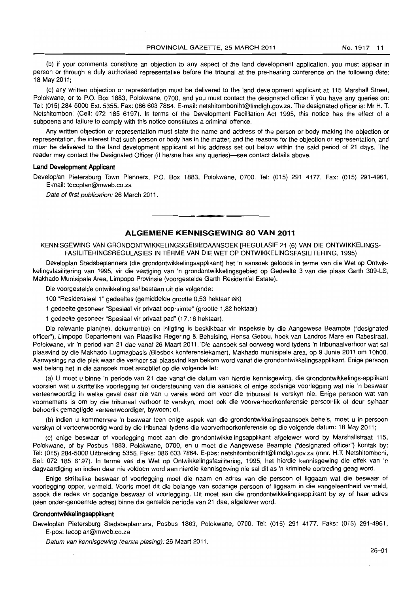(b) if your comments constitute an objection to any aspect of the land development application, you must appear in person or through a duly authorised representative before the tribunal at the pre-hearing conference on the following date: 18 May 2011;

(c) any written objection or representation must be delivered to the land development applicant at 115 Marshall Street, Polokwane, or to P.O. Box 1883, Polokwane, 0700, and you must contact the designated officer if you have any queries on: Tel: (015) 284-5000 Ext. 5355. Fax: 086 603 7864. E-mail: netshitomboniht@limdlgh.gov.za. The designated officer is: Mr H. T. Netshitomboni (Cell: 072 185 6197). In terms of the Development Facilitation Act 1995, this notice has the effect of a subpoena and failure to comply with this notice constitutes a criminal offence.

Any written objection or representation must state the name and address of the person or body making the objection or representation, the interest that such person or body has in the matter, and the reasons for the objection or representation, and must be delivered to the land development applicant at his address set out below within the said period of 21 days. The reader may contact the Designated Officer (if he/she has any queries)—see contact details above.

#### **Land Development Applicant**

Developlan Pietersburg Town Planners, P.O. Box 1883, Polokwane, 0700. Tel: (015) 291 4177. Fax: (015) 291-4961, E-mail: tecoplan@mweb.co.za

Date of first publication: 26 March 2011.

# **ALGEMENE KENNISGEWING 80 VAN 2011**

. **- .** 

KENNISGEWING VAN GRONDONTWIKKELINGSGEBIEDAANSOEK [REGULASIE 21 (6) VAN DIE ONTWIKKELINGS-FASILITERINGSREGULASIES **IN** TERME VAN DIE WET OP ONTWIKKELlNGSFASILITERING, 1995)

Developlan Stadsbeplanners (die grondontwikkelingsapplikant) het 'n aansoek geloods in terme van die Wet op Ontwikkelingsfasilitering van 1995, vir die vestiging van 'n grondontwikkelingsgebied op Gedeelte 3 van die plaas Garth 309-LS, Makhado Munisipale Area, Limpopo Provinsie (voorgestelde Garth Residential Estate).

Die voorgestelde ontwikkeling sal bestaan uit die volgende:

100 "Residensieel 1" gedeeltes (gemiddelde grootte 0,53 hektaar elk)

1 gedeelte gesoneer "Spesiaal vir privaat oopruimte" (grootte 1,82 hektaar)

1 gedeelte gesoneer "Spesiaal vir privaat pad" (17,16 hektaar).

Die relevante plan(ne), dokument(e) en inligting is beskikbaar vir inspeksie by die Aangewese Beampte ("designated officer"), Limpopo Departement van Plaaslike Regering & Behuising, Hensa Gebou, hoek van Landros Mare en Rabestraat, Polokwane, vir 'n period van 21 dae vanaf 26 Maart 2011. *Die* aansoek sal oorweeg word tydens 'n tribunaalverhoor wat sal plaasvind by die Makhado Lugmagbasis (Blesbok konferensiekamer), Makhado munisipale area, op 9 Junie 2011 om 10hOO. Aanwysings na die plek waar die verhoor sal plaasvind kan bekom word vanaf die grondontwikkelingsapplikant. Enige persoon wat belang het in die aansoek moet asseblief op die volgende let:

(a) U moet u binne 'n periode van 21 dae vanaf die datum van hierdie kennisgewing, die grondontwikkelings-applikant voorsien wat u skriftelike voorlegging ter ondersteuning van die aansoek of enige sodanige voorlegging wat nie 'n beswaar verteenwoordig in welke geval daar nie van u vereis word om voor die tribunaal te verskyn nie. Enige persoon wat van voornemens is om by die tribunaal verhoor te verskyn, moet ook die voorverhoorkonferensie persoonlik of deur sy/haar behoorlik gemagtigde verteenwoordiger, bywoon; of,

(b) indien u kommentare 'n beswaar teen enige aspek van die grondontwikkelingsaansoek behels, moet u in persoon verskyn of verteenwoordig word by die tribunaal tydens die voorverhoorkonferensie op die volgende datum: 18 May 2011 ;

(c) enige beswaar of voorlegging moet aan die grondontwikkelingsapplikant afgelewer word by Marshallstraat 115, Polokwane, of by Posbus 1883, Polokwane, 0700, en u moet die Aangewese Beampte ("designated officer") kontak by: Tel: (015) 284-5000 Uitbreiding 5355. Faks: 0866037864. E-pos: netshitombonitht@limdlgh.gov.za (mnr. H.T. Netshitomboni, Sel: 072 185 6197). In terme van die Wet op Ontwikkelingsfasilitering, 1995, het hierdie kennisgewing die effek van 'n dagvaardiging en indien daar nie voldoen word aan hierdie kennisgewing nie sal dit as 'n kriminele oortreding geag word.

Enige skriftelike beswaar of voorlegging moet die naam en adres van die persoon of liggaam wat die beswaar of voorlegging opper, vermeld. Voorts moet dit die belange van sodanige persoon of liggaam in die aangeleentheid vermeld, asook die redes vir sodanige beswaar of voorlegging. Dit moet aan die grondontwikkelingsapplikant by sy of haar adres (sien onder-genoemde adres) binne die gemelde periode van 21 dae, afgelewer word.

#### **Grondontwikkelingsapplikant**

Developlan Pietersburg Stadsbeplanners, Posbus 1883, Polokwane, 0700. Tel: (015) 291 4177. Faks: (015) 291-4961, E-pos: tecoplan@mweb.co.za

Datum van kennisgewing (eerste plasing): 26 Maart 2011.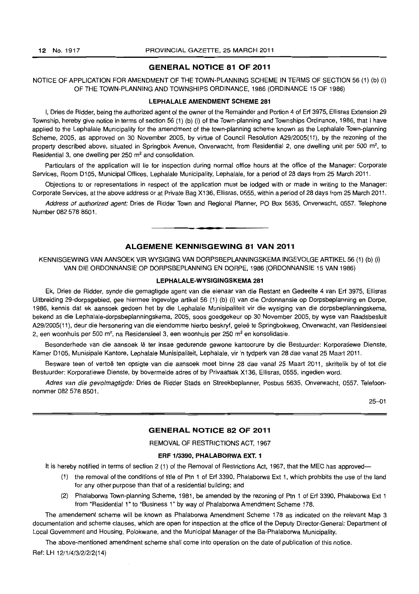#### GENERAL NOTICE 81 OF 2011

#### NOTICE OF APPLICATION FOR AMENDMENT OF THE TOWN-PLANNING SCHEME IN TERMS OF SECTION 56 (1) (b) (i) OF THE TOWN-PLANNING AND TOWNSHIPS ORDINANCE. 1986 (ORDINANCE 15 OF 1986)

#### LEPHALALE AMENDMENT SCHEME 281

I. Dries de Ridder. being the authorized agent of the owner of the Remainder and Portion 4 of Erf 3975. Ellisras Extension 29 Township, hereby give notice in terms of section 56 (1) (b) (i) of the Town-planning and Townships Ordinance, 1986. that I have applied to the Lephalale Municipality for the amendment of the town-planning scheme known as the Lephalale Town-planning Scheme, 2005. as approved on 30 November 2005, by virtue of Council Resolution A29/2005( 11), by the rezoning of the property described above, situated in Springbok Avenue, Onverwacht, from Residential 2, one dwelling unit per 500 m<sup>2</sup>, to Residential 3, one dwelling per  $250 \text{ m}^2$  and consolidation.

Particulars of the application will lie for inspection during normal office hours at the office of the Manager: Corporate Services, Room 0105, Municipal Offices, Lephalale Municipality, Lephalale, for a period of 28 days from 25 March 2011.

Objections to or representations in respect of the application must be lodged with or made in writing to the Manager: Corporate Services, at the above address or at Private Bag X136, Ellisras, 0555, within a period of 28 days from 25 March 2011.

Address of authorized agent: Dries de Ridder Town and Regional Planner, PO Box 5635, Onverwacht, 0557. Telephone Number 082 578 8501.

**1\_'** 

# ALGEMENE KENNISGEWING 81 VAN 2011

KENNISGEWING VAN MNSOEK VIR WYSIGING VAN DORPSBEPLANNINGSKEMA INGEVOLGE ARTIKEL 56 (1) (b) (i) VAN DIE ORDONNANSIE OP DORPSBEPLANNING EN DORPE, 1986 (ORDONNANSIE 15 VAN 1986)

#### LEPHALALE-WVSIGINGSKEMA 281

Ek, Dries de Ridder, synde die gemagtigde agent van die eienaar van die Restant en Gedeelte 4 van Erf 3975, Ellisras Uitbreiding 29-dorpsgebied, gee hiermee ingevolge artikel 56 (1) (b) (i) van die Ordonnansie op Dorpsbeplanning en Dorpe, 1986, kennis dat ek aansoek gedoen het by die Lephalale Munisipaliteit vir die wysiging *van* die dorpsbeplanningskema, bekend as die Lephalale-dorpsbeplanningskema, 2005, soos goedgekeur op 30 November 2005, by wyse van Raadsbesluit A29/2005(11), deur die hersonering van die eiendomme hierbo beskryf, gelee te Springbokweg, Onverwacht, van Residensieel 2, een woonhuis per 500 m<sup>2</sup>, na Residensieel 3, een woonhuis per 250 m<sup>2</sup> en konsolidasie.

Besonderhede van die aansoek lê ter insae gedurende gewone kantoorure by die Bestuurder: Korporatiewe Dienste, Kamer 0105, Munisipale Kantore, Lephalale Munisipaliteit, Lephalale, vir 'n tydperk van 28 dae vanaf 25 Maart 2011.

Besware teen of vertoe ten opsigte van die aansoek moet binne 28 dae vanaf 25 Maart 2011, skriftelik by of tot die Bestuurder: Korporatiewe Dienste, by bovermelde adres of by Privaatsak X136, Ellisras, 0555, ingedien word.

Adres van die gevolmagtigde: Dries de Ridder Stads en Streekbeplanner, Posbus 5635, Onverwacht, 0557. Telefoonnommer 082 578 8501.

25-01

#### GENERAL NOTICE 82 OF 2011

REMOVAL OF RESTRICTIONS ACT, 1967

#### ERF *1/3390,* PHALABORWA EXT. 1

It is hereby notified in terms of section 2 (1) of the Removal of Restrictions Act, 1967, that the MEC has approved-

- (1) the removal of the conditions of title of Ptn 1 of Erf 3390, Phalaborwa Ext 1, which prohibits the use of the land for any other purpose than that of a residential building; and
- (2) Phalaborwa Town-planning Scheme, 1981, be amended by the rezoning of Ptn 1 of Erf 3390, Phalaborwa Ext 1 from "Residential 1" to "Business 1" by way of Phalaborwa Amendment Scheme 178.

The amendement scheme will be known as Phalaborwa Amendment Scheme 178 as indicated on the relevant Map 3 documentation and scheme clauses, which are open for inspection at the office of the Deputy Director-General: Department of Local Government and Housing, Polokwane, and the Municipal Manager of the Ba-Phalaborwa Municipality.

The above-mentioned amendment scheme shall come into operation on the date of publication of this notice.

Ref: LH 1211/4/3/2/2/2(14)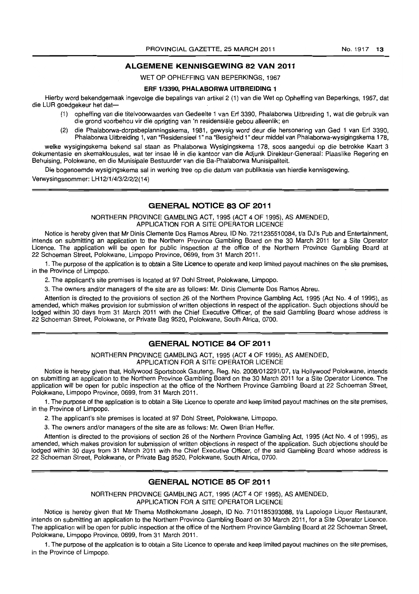#### **ALGEMENE KENNISGEWING 82 VAN 2011**

WET OP OPHEFFING VAN BEPERKINGS, 1967

#### **ERF 1/3390, PHALABORWA UITBREIDING 1**

Hierby word bekendgemaak ingevolge die bepalings van artikel 2 (i) van die Wet op Opheffing *van* Beperkings, 1967, dat die LUR goedgekeur het dat-

- (i) opheffing van die titelvoorwaardes van Gedeelte 1 van Erf 3390, Phalaborwa Uitbreiding 1, wat die gebruik van die grond voorbehou vir die oprigting van 'n residensiele gebou alleenlik; en
- (2) die Phalaborwa-dorpsbeplanningskema, 1981, gewysig word deur die hersonering van Ged 1 van Erf 3390, Phalaborwa Uitbreiding 1, van "Residensieel1" na "Besigheid 1" deur middel van Phalaborwa-wysigingskema 178,

welke wysigingskema bekend sal staan as Phalaborwa Wysigingskema 178, soos aangedui op die betrokke Kaart 3 dokumentasie en skemaklousules, wat ter insae Ie in die kantoor van die Adjunk Direkteur-Generaal: Plaaslike Regering en Behuising, Polokwane, en die Munisipale Bestuurder van die Ba-Phalaborwa Munisipaliteit.

Die bogenoemde wysigingskema sal in werking tree op die datum van publikasie van hierdie kennisgewing.

Verwysingsnommer: LH 1211/4/3/21212( 14}

#### **GENERAL NOTICE 83 OF 2011**

NORTHERN PROVINCE GAMBLING ACT, 1995 (ACT 4 OF 1995), AS AMENDED, APPLICATION FOR A SITE OPERATOR LICENCE

Notice is hereby given that Mr Dinis Clemente Dos Ramos Abreu, ID No. 7211235510084, t/a DJ's Pub and Entertainment, intends on submitting an application to the Northern Province Gambling Board on the 30 March 2011 for a Site Operator Licence. The application will be open for public inspection at the office of the Northern Province Gambling Board at 22 Schoeman Street, Polokwane, Limpopo Province, 0699, from 31 March 2011.

1. The purpose of the application is to obtain a Site Licence to operate and keep limited payout machines on the site premises, in the Province of Limpopo.

2. The applicant's site premises is located at 97 Dohl Street, Polokwane, Limpopo.

3. The owners and/or managers of the site are as follows: Mr. Dinis Clemente Dos Ramos Abreu.

Attention is directed to the provisions of section 26 of the Northern Province Gambling Act, 1995 (Act No.4 of 1995), as amended, which makes provision for submission of written objections in respect of the application. Such objections should be lodged within 30 days from 31 March 2011 with the Chief Executive Officer, of the said Gambling Board whose address is 22 Schoeman Street, Polokwane, or Private Bag 9520, Polokwane, South Africa, 0700.

### **GENERAL NOTICE 84 OF 2011**

NORTHERN PROVINCE GAMBLING ACT, 1995 (ACT 4 OF 1995), AS AMENDED, APPLICATION FOR A SITE OPERATOR LICENCE

Notice is hereby given that, Hollywood Sportsbook Gauteng, Reg. No. 2008/012291/07, t/a Hollywood Polokwane, intends on submitting an application to the Northern Province Gambling Board on the 30 March 2011 for a Site Operator Licence. The application will be open for public inspection at the office of the Northern Province Gambling Board at 22 Schoeman Street, Polokwane, Limpopo Province, 0699, from 31 March 2011.

1. The purpose of the application is to obtain a Site Licence to operate and keep limited payout machines on the site premises, in the Province of Limpopo.

2. The applicant's site premises is located at 97 Dohl Street, Polokwane, Limpopo.

3. The owners *andlor* managers of the site are as follows: Mr. Owen Brian Heffer.

Attention is directed to the provisions of section 26 of the Northern Province Gambling Act, 1995 (Act No.4 of 1995), as amended, which makes provision for submission of written objections in respect of the application. Such objections should be lodged within 30 days from 31 March 2011 with the Chief Executive Officer, of the said Gambling Board whose address is 22 Schoeman Street, Polokwane, or Private Bag 9520, Polokwane, South Africa, 0700.

#### **GENERAL NOTICE 85 OF 2011**

NORTHERN PROVINCE GAMBLING ACT, 1995 (ACT 4 OF 1995), AS AMENDED, APPLICATION FOR A SITE OPERATOR LICENCE

Notice is hereby given that Mr Thema Motlhokomane Joseph, ID No. 7101185393088, t/a Lapologa Liquor Restaurant, intends on submitting an application to the Northern Province Gambling Board on 30 March 2011, for a Site Operator Licence. The application will be open for public inspection at the office of the Northern Province Gambling Board at 22 Schoeman Street, Polokwane, Limpopo Province, 0699, from 31 March 2011.

1. The purpose of the application is to obtain a Site Licence to operate and keep limited payout machines on the site premises, in the Province of Limpopo.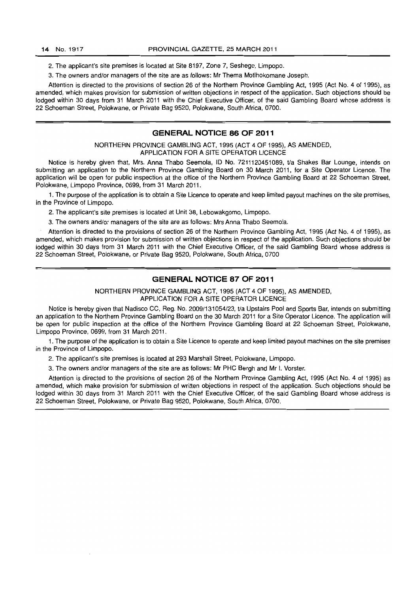2. The applicant's site premises is located at Site 8197, Zone 7, Seshego, Limpopo.

3. The owners and/or managers of the site are as follows: Mr Thema Motlhokomane Joseph.

Attention is directed to the provisions of section 26 of the Northern Province Gambling Act, 1995 (Act No.4 of 1995), as amended, which makes provision for submission of written objections in respect of the application. Such objections should be lodged within 30 days from 31 March 2011 with the Chief Executive Officer, of the said Gambling Board whose address is 22 Schoeman Street, Polokwane, or Private Bag 9520, Polokwane, South Africa, 0700.

#### **GENERAL NOTICE 86 OF 2011**

NORTHERN PROVINCE GAMBLING ACT, 1995 (ACT 4 OF 1995), AS AMENDED, APPLICATION FOR A SITE OPERATOR LICENCE

Notice is hereby given that, Mrs. Anna Thabo Seemola, ID No. 7211120451089, t/a Shakes Bar Lounge, intends on submitting an application to the Northern Province Gambling Board on 30 March 2011, for a Site Operator Licence. The application wilt be open for public inspection at the office of the Northern Province Gambling Board at 22 Schoeman Street, Polokwane, Limpopo Province, 0699, from 31 March 2011

1. The purpose of the application is to obtain a Site Licence to operate and keep limited payout machines on the site premises, in the Province of Limpopo.

2. The applicant's site premises is located at Unit 38, Lebowakgomo, Limpopo.

3. The owners and/or managers of the site are as follows: Mrs Anna Thabo Seemola.

Attention is directed to the provisions of section 26 of the Northern Province Gambling Act, 1995 (Act No.4 of 1995), as amended, which makes provision for submission of written objections in respect of the application. Such objections should be lodged within 30 days from 31 March 2011 with the Chief Executive Officer, of the said Gambling Board whose address is 22 Schoeman Street, Polokwane, or Private Bag 9520, Polokwane, South Africa, 0700

#### **GENERAL NOTICE 87 OF 2011**

NORTHERN PROVINCE GAMBLING ACT, 1995 (ACT 4 OF 1995), AS AMENDED, APPLICATION FOR A SITE OPERATOR LICENCE

Notice is hereby given that Nadisco CC, Reg. No. 2009/131054/23, t/a Upstairs Pool and Sports Bar, intends on submitting an application to the Northern Province Gambling Board on the 30 March 2011 for a Site Operator Licence. The application will be open for public inspection at the office of the Northern Province Gambling Board at 22 Schoeman Street, Polokwane, Limpopo Province, 0699, from 31 March 2011.

1. The purpose of the application is to obtain a Site Licence to operate and keep limited payout machines on the site premises in the Province of Limpopo.

2. The applicant's site premises is located at 293 Marshall Street, Polokwane, Limpopo.

3. The owners and/or managers of the site are as follows: Mr PHC Bergh and Mr I. Vorster.

Attention is directed to the provisions of section 26 of the Northern Province Gambling Act, 1995 (Act No.4 of 1995) as amended, which make provision for submission of written objections in respect of the application. Such objections should be lodged within 30 days from 31 March 2011 with the Chief Executive Officer, of the said Gambling Board whose address is 22 Schoeman Street, Polokwane, or Private Bag 9520, Polokwane, South Africa, 0700.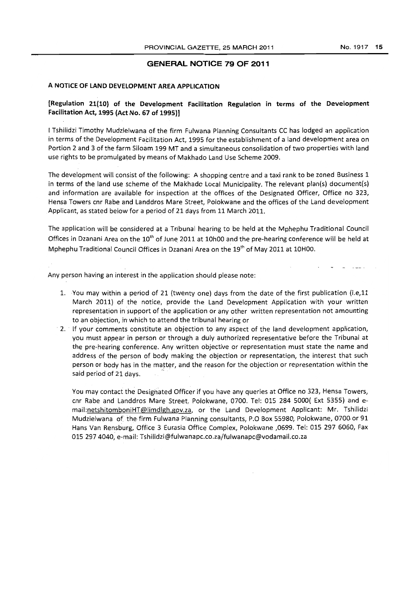#### GENERAL NOTICE 79 OF 2011

# A NOTICE OF LAND DEVELOPMENT AREA APPLICATION

# [Regulation 21(10) of the Development Facilitation Regulation in terms of the Development Facilitation Act, 1995 (Act No. 67 of 1995)]

I Tshilidzi Timothy Mudzielwana of the firm Fulwana Planning Consultants CC has lodged an application in terms of the Development Facilitation Act, 1995 for the establishment of a land development area on Portion 2 and 3 of the farm Siloam 199 MT and a simultaneous consolidation of two properties with land use rights to be promulgated by means of Makhado Land Use Scheme 2009.

The development will consist of the following: A shopping centre and a taxi rank to be zoned Business 1 in terms of the land use scheme of the Makhado Local Municipality. The relevant plan{s) document(s) and information are available for inspection at the offices of the Designated Officer, Office no 323, Hensa Towers cnr Rabe and Landdros Mare Street, Polokwane and the offices of the Land development Applicant, as stated below for a period of 21 days from 11 March 2011.

The application will be considered at a Tribunal hearing to be held at the Mphephu Traditional Council Offices in Dzanani Area on the 10<sup>th</sup> of June 2011 at 10h00 and the pre-hearing conference will be held at Mphephu Traditional Council Offices in Dzanani Area on the  $19<sup>th</sup>$  of May 2011 at 10H00.

Any person having an interest in the application should please note:

- 1. You may within a period of 21 (twenty one) days from the date of the first publication (i.e.11 March 2011) of the notice, provide the Land Development Application with your written representation in support of the application or any other written representation not amounting to an objection, in· which to attend the tribunal hearing or
- . 2. If your comments constitute an objection to any aspect of the land development application, you must appear in person or through a duly authorized representative before the Tribunal at the pre-hearing conference. Any written objective or representation must state the name and address of the person of body making the objection or representation, the interest that such person or body has in the matter, and the reason for the objection or representation within the said period of 21 days.

You may contact the Designated Officer jf you have any queries at Office no 323, Hensa Towers, cnr Rabe and Landdros Mare Street, Polokwane, 0700. Tel: 015 284 5000( Ext 5355) and email:netshitomboniHT@limdlgh.gov.za, or the Land Development Applicant: Mr. Tshilidzi Mudzielwana of the firm Fulwana Planning consultants, P.O Box 55980, Polokwane, 0700 or 91 Hans Van Rensburg, Office 3 Eurasia Office Complex, Polokwane ,0699. Tel: 015 297 6060, Fax 015 2974040, e-mail: Tshilidzi@fulwanapc.co.za/fulwanapc@vodamail.co.za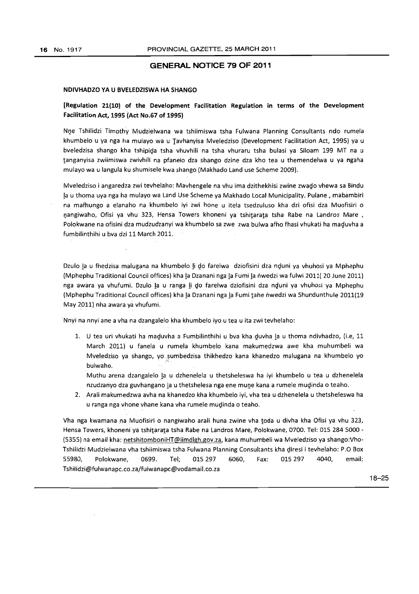#### **GENERAL NOTICE 79 OF 2011**

#### NDIVHADZO VA U BVElEDZISWA HA SHANGO

## [Regulation 21(10) of the Development Facilitation Regulation in terms of the Development Facilitation Act, 1995 (Act No.67 of 1995)

Nne Tshilidzi Timothy Mudzielwana wa tshiimiswa tsha Fulwana Planning Consultants ndo rumela khumbelo u ya nga ha mulayo wa u Tavhanyisa Mveledziso (Development Facilitation Act, 1995) ya u bveledzisa shango kha tshipiga tsha vhuvhili na tsha vhuraru tsha bulasi va Siloam 199 MT na u tanganvisa zwiimiswa zwivhili na pfanelo dza shango dzine dza kho tea u themendelwa u ya ngaha mulayo wa u langula ku shumisele kwa shango (Makhado land use Scheme 2009).

Mveledziso i angaredza zwi tevhelaho: Mavhengele na vhu ima dzithekhisi zwine zwago vhewa sa Bindu la u thoma uva nga ha mulayo wa land Use Scheme ya Makhado local Municipality. Pulane , mabambiri na mafhungo a elanaho na khumbelo iyi zwi hone u itela tsedzuluso kha dzi ofisi dza Muofisiri o nangiwaho, Ofisi ya vhu 323, Hensa Towers khoneni ya tshitarata tsha Rabe na Landros Mare, Polokwane na ofisini dza mudzudzanvi wa khumbelo sa zwe zwa bulwa afho fhasi vhukati ha maguvha a fumbilinthihi u bva dzi 11 March 2011.

Dzulo la u fhedzisa malugana na khumbelo li do farelwa dziofisini dza nduni ya vhuhosi ya Mphephu (Mphephu Traditional Council offices) kha la Dzanani nga la Fumi la nwedzi wa fulwi 2011( 20 June 2011) nga awara ya vhufumi. Dzulo la u ranga li do farelwa dziofisini dza nduni ya vhuhosi ya Mphephu (Mphephu Traditional Council offices) kha !a Dzanani nga la Fumi tahe nwedzi wa Shundunthule 2011(19 May 2011) nha awara ya vhufumi.

Nnyi na nnyi ane a vha na dzangalelo kha khumbelo ivo u tea u ita zwi tevhelaho:

1. U tea uri vhukati ha maduvha a Fumbilinthihi u bva kha duvha la u thoma ndivhadzo, (i.e, 11 March 2011) u fanela u rumela khumbelo kana makumedzwa awe kha muhumbeli wa Mveledziso ya shango, yo sumbedzisa thikhedzo kana khanedzo malugana na khumbelo yo bulwaho.

Muthu arena dzangalelo la u dzhenelela u thetsheleswa ha iyi khumbelo u tea u dzhenelela nzudzanyo dza guvhangano la u thetshelesa nga ene mune kana a rumele mudinda o teaho.

2. Arali makumedzwa avha na khanedzo kha kbumbelo iyi, vha tea u dzhenelela u thetsheleswa ha u ranga nga vhone vhane kana vha rumele mudinda o teaho.

Vha nga kwamana na Muofisiri o nangiwaho arali huna zwine vha toda u divha kha Ofisi ya vhu 323, Hensa Towers, khoneni ya tshitarata tsha Rabe na landros Mare, Polokwane, 0700. Tel: 015 2845000 - (5355) na email kha: netshitomboniHT@limdlgh.gov.za, kana muhumbeli wa Mveledziso ya shango:Vho-Tshilidzi Mudzielwana vha tshiimiswa tsha Fulwana Planning Consultants kha giresi i tevhelaho: P.O Box 55980, Polokwane, 0699. Tel; 015 297 6060, Fax: 015 297 4040, email: Tshilidzi@fulwanapc.co.za/fulwanapc@vodamail.co.za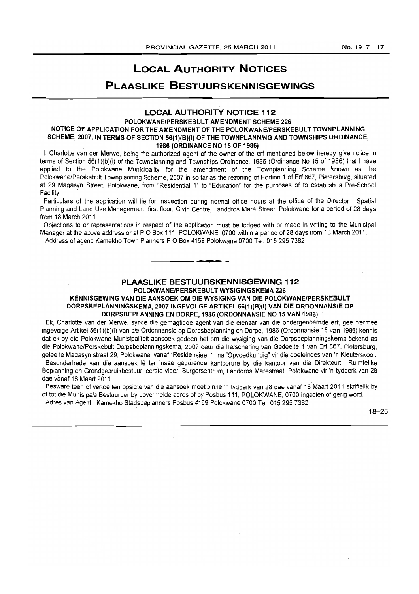# **LOCAL AUTHORITY NOTICES**

# **PLAASLIKE BESTUURSKENNISGEWINGS**

# **LOCAL AUTHORITY NOTICE 112**

#### **POLOKWANE/PERSKEBULT AMENDMENT SCHEME 226 NOTICE OF APPLICATION FOR THE AMENDMENT OF THE POLOKWANE/PERSKEBULT TOWNPLANNING SCHEME, 2007, IN TERMS OF SECTION 56(1)(B)(I) OF THE TOWNPLANNING AND TOWNSHIPS ORDINANCE, 1986 (ORDINANCE NO 15 OF 1986)**

I, Charlotte van der Merwe, being the authorized agent of the owner of the erf mentioned below hereby give notice in terms of Section 56(1)(b)(i) of the Townplanning and Townships Ordinance, 1986 (Ordinance No 15 of 1986) that I have applied to the Polokwane Municipality for the amendment of the Townplanning Scheme known as the Polokwane/Perskebult Townplanning Scheme, 2007 in so far as the rezoning of Portion 1 of Erf 867, Pietersburg, situated at 29 Magasyn Street, Polokwane, from "Residential 1" to "Education" for the purposes of to establish a Pre-School<br>Facility.

Particulars of the application will lie for inspection during normal office hours at the office of the Director: Spatial Planning and Land Use Management, first floor, Civic Centre, Landdros Mare Street, Polokwane for a period of 28 days from 18 March 2011.

Objections to or representations in respect of the application must be lodged with or made in writing to the Municipal Manager at the above address or at P O Box 111, POLOKWANE, 0700 within a period of 28 days from 18 March 2011. Address of agent: Kamekho Town Planners P O Box 4169 Polokwane 0700 Tel: 015 295 7382

#### **PLAASLIKE BESTUURSKENNISGEWING 112**  POLOKWANE/PERSKEBULT WYSIGINGSKEMA 226

**•** 

KENNISGEWING VAN DIE AANSOEK OM DIE WYSIGING VAN DIE POLOKWANE/PERSKEBULT DORPSBEPLANNINGSKEMA, 2007 INGEVOLGE ARTIKEL 56(1)(B)(I) VAN DIE ORDONNANSIE OP **DORPSBEPLANNING EN DORPE, 1986 (ORDONNANSIE NO 15 VAN 1986)** 

Ek, Charlotte van der Merwe, synde die gemagtigde agent van die eienaar van die ondergenoemde erf, gee hiermee ingevolge Artikel 56(1)(b)(i) van die Ordonnansie op Dorpsbeplanning en Dorpe, 1986 (Ordonnansie 15 van 1986) kennis dat ek by die Polokwane Munisipaliteit aansoek gedoen het om die wysiging van die Dorpsbeplanningskema bekend as die Polokwane/Perskebult Dorpsbeplanningskema, 2007 deur die hersonering van Gedeelte 1 van Eri 867, Pietersburg, gelee te Magasyn straat 29, Polokwane, vanaf "Residensieel 1" na "Opvoedkundig" vir die doeleindes van 'n Kleuterskool. Besonderhede van die aansoek lê ter insae gedurende kantoorure by die kantoor van die Direkteur: Ruimtelike Beplanning en Grondgebruikbestuur, eerste vloer, Burgersentrum, Landdros Marestraat, Polokwane vir 'n tydperk van 28 dae vanaf 18 Maart 2011.

Besware teen of vertoe ten opsigte van die aansoek moet binne 'n tydperk van 28 dae vanaf 18 Maart 2011 skriftelik by of tot die Munisipale Bestuurder by bovermelde adres of by Posbus 111, POLOKWANE, 0700 ingedien of gerig word. Adres van Agent: Kamekho Stadsbepianners Posbus 4169 Polokwane 0700 Tel: 0152957382

18-25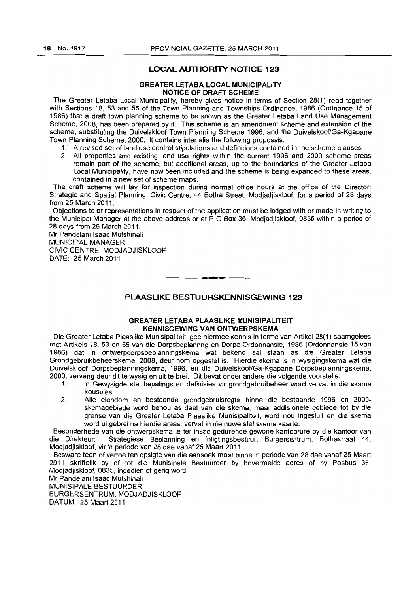#### **LOCAL AUTHORITY NOTICE 123**

#### **GREATER LETABA LOCAL MUNICIPALITY NOTICE OF DRAFT SCHEME**

The Greater Letaba Local Municipality, hereby gives notice in terms of Section 28(1) read together with Sections 18, 53 and 55 of the Town Planning and Townships Ordinance, 1986 (Ordinance 15 of 1986) that a draft town planning scheme to be known as the Greater Letaba Land Use Management Scheme, 2008, has been prepared by it. This scheme is an amendment scheme and extension of the scheme, substituting the Duivelskloof Town Planning Scheme 1996, and the Duivelskoof/Ga-Kgapane Town Planning Scheme, 2000. It contains inter alia the following proposals:

- 1. A revised set of land use control stipulations and definitions contained in the scheme clauses.
- 2. All properties and existing land use rights within the current 1996 and 2000 scheme areas remain part of the scheme, but additional areas, up to the boundaries of the Greater Letaba Local Municipality, have now been included and the scheme is being expanded to these areas, contained in a new set of scheme maps.

The draft scheme will lay for inspection during normal office hours at the office of the Director: Strategic and Spatial Planning, Civic Centre, 44 Botha Street, Modjadjiskloof, for a period of 28 days from 25 March 2011.

Objections to or representations in respect of the application must be lodged with or made in writing to the Municipal Manager at the above address or at P O Box 36, Modjadjiskloof, 0835 within a period of 28 days from 25 March 2011.

Mr Pandelani Isaac Mutshinali MUNICIPAL MANAGER CIVIC CENTRE, MODJADJISKLOOF DATE: 25 March 2011

# **PLAASLIKE BESTUURSKENNISGEWING 123**

• **••** 

#### **GREATER LETABA PLAASLIKE MUNISIPALITEIT KENNISGEWING VAN ONTWERPSKEMA**

Die Greater Letaba Plaaslike Munisipaliteit, gee hiermee kennis in terme van ArtikeI28(1) saamgelees met Artikels 18,53 en 55 van die Dorpsbeplannng en Dorpe Ordonnansie, 1986 (Ordonnansie 15 van 1986) dat 'n ontwerpdorpsbeplanningskema wat bekend sal staan as die Greater Letaba Grondgebruikbeheerskema, 2008, deur hom opgestel is. Hierdie skema is 'n wysigingskema wat die Duivelskloof Dorpsbeplanningskema, 1996, en die Duivelskoof/Ga-Kgapane Dorpsbeplanningskema, 2000, vervang deur dit te wysig en uit te brei. Dit bevat onder andere die volgende voorstelle:

- 1. 'n Gewysigde stel bepalings en definisies vir grondgebruibeheer word vervat in die skama kousules.
- 2. Aile eiendom en bestaande grondgebruisregte binne die bestaande 1996 en 2000 skemagebiede word behou as deel van die skema, maar addisionele gebiede tot by die grense van die Greater Letaba Plaaslike Munisipaliteit, word nou ingesluit en die skema word uitgebrei na hierdie areas, vervat in die nuwe stel skema kaarte.

Besonderhede van die ontwerpskema Ie ter insae gedurende gewone kantoorure by die kantoor van die Direkteur: Strategiese Beplanning en Inligtingsbestuur, Burgersentrum, Bothastraat 44, Modjadjiskloof, vir 'n periode van 28 dae vanaf 25 Maart 2011.

Besware teen of vertoe ten opsigte van die aansoek moet binne 'n periode van 28 dae vanaf 25 Maart 2011 skriftelik by of tot die Munisipale Bestuurder by bovermelde adres of by Posbus 36, Modjadjiskloof, 0835, ingedien of gerig word.

Mr Pandelani Isaac Mutshinali

MUNISIPALE BESTUURDER

BURGERSENTRUM, MODJADJISKLOOF DATUM: 25 Maart 2011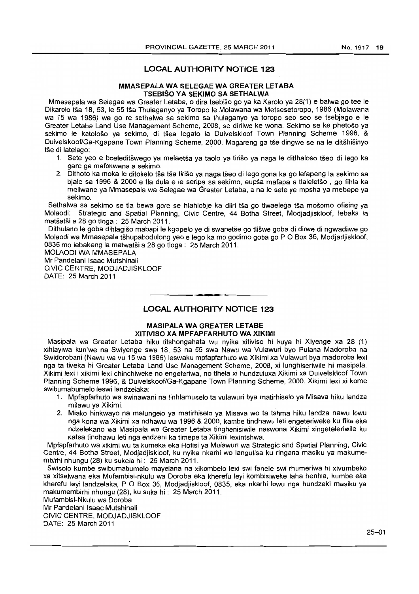### **LOCAL AUTHORITY NOTICE 123**

#### **MMASEPALA WA SELEGAE WA GREATER LETABA TSEBISO VA SEKIMO SA SETHALWA**

Mmasepala wa Selegae wa Greater Letaba, 0 dira tsebiso go ya ka Karolo ya 28(1) e balwa go tee Ie Dikarolo tsa 18,53, Ie 55 tsa Thulaganyo ya Toropo Ie Molawana wa Metsesetoropo, 1986 (Molawana wa 15 wa 1986) wa go re sethalwa sa sekimo sa thulaganyo ya torapo seo seo se tsebjago e Ie Greater Letaba Land Use Management Scheme, 2008, se dirilwe ke wona. Sekimo se ke phetoso ya sekimo le katološo ya sekimo, di tšea legato la Duivelskloof Town Planning Scheme 1996, & Duivelskoof/Ga-Kgapane Town Planning Scheme, 2000. Magareng ga tše dingwe se na le ditšhišinyo tše di latelago:

- 1. Sete yeo e boeleditswego ya melaetsa ya taolo ya tiriso ya naga Ie ditlhaloso tseo di lego ka gare ga mafokwana a sekimo.
- 2. Dithoto ka moka le ditokelo tša tša tirišo ya naga tšeo di lego gona ka go lefapeng la sekimo sa bjale sa 1996 & 2000 e tla dula e Ie seripa sa sekimo, eupsa mafapa a tlaleletso , go fihla ka mellwane ya Mmasepala wa Selegae wa Greater Letaba, a na le sete ye mpsha ya mebepe ya sekimo.

Sethalwa sa sekimo se tla bewa gore se hlahlobje ka diiri tša go tlwaelega tša mošomo ofising ya Molaodi: Strategic and Spatial Planning, Civic Centre, 44 Botha Street, Modjadjiskloof, lebaka la matšatši a 28 go tioga: 25 March 2011.

Dithulano Ie goba dihlagiso mabapi Ie kgopelo ye di swanetse go tliswe goba di dirwe di ngwadilwe go Molaodi wa Mmasepala tšhupabodulong yeo e lego ka mo godimo goba go P O Box 36, Modjadjiskloof, 0835 mo lebakeng la matwatsi a 28 go tioga: 25 March 2011.

MOLAODI WA MMASEPALA Mr Pandelani Isaac Mutshinali CIVIC CENTRE, MODJADJISKLOOF DATE: 25 March 2011

### **LOCAL AUTHORITY NOTICE 123**

• **••** 

#### **MASIPALA WA GREATER LETABE XITIVISO XA MPFAPFARHUTO WA XIKIMI**

Masipala wa Greater Letaba hiku titshongahata wu nyika xitiviso hi kuya hi Xiyenge xa 28 (1) xihlayiwa kun'we na SWiyenge swa 18, 53 na 55 swa Nawu wa Vulawuri bye Pulana Madoroba na Swidorobani (Nawu wa vu 15 wa 1986) leswaku mpfapfarhuto wa Xikimi xa Vulawuri bya madoroba lexi nga ta tiveka hi Greater Letaba Land Use Management Scheme, 2008, xi lunghiseriwile hi masipala. Xikimi lexi i xikimi lexi chinchiweke no engeteriwa, no tlhela xi hundzuluxa Xikimi xa Duivelskloof Town Planning Scheme 1996, & Duivelskoof/Ga-Kgapane Town Planning Scheme, 2000. Xikimi lexi xi kome swibumabumelo leswi landzelaka:

- 1. Mpfapfarhuto wa swinawani na tinhlamuselo ta vulawuri bya matirhiselo ya Misava hiku landza milawu ya Xikimi.
- 2. Miako hinkwayo na malungelo ya matirhiselo ya Misava wo ta tshma hiku landza nawu lowu nga kona wa Xikimi xa ndhawu wa 1996 & 2000, kambe tindhawu leti engeteriweke ku fika eka ndzelekano wa Masipala wa Greater Letaba tinghenisiwile naswona Xikimi xingeteleriwile ku katsa tindhawu leti nga endzeni ka timepe ta Xikimi lexintshwa.

Mpfapfarhuto wa xikimi wu ta kumeka eka Hofisi ya Mulawuri wa Strategic and Spatial Planning, Civic Centre, 44 Botha Street, Modjadjiskloof, ku nyika nkarhi wo langutisa ku ringana masiku ya makumembirhi nhungu (28) ku sukela hi: 25 March 2011.

Swisolo kumbe swibumabumelo mayelana na xikombelo lexi swi fanele swi rhumeriwa hi xivumbeko xa xitsalwana eka Mufambisi-nkulu wa Doroba eka kherefu leyi kombisiweke laha henhla, kumbe eka kherefu leyi landzelaka, P O Box 36, Modiadiiskloof, 0835, eka nkarhi lowu nga hundzeki masiku va makumembirhi nhungu (28), ku suka hi: 25 March 2011.

Mufambisi-Nkulu wa Doroba Mr Pandelani Isaac Mutshinali CIVIC CENTRE, MODJADJISKLOOF DATE: 25 March 2011